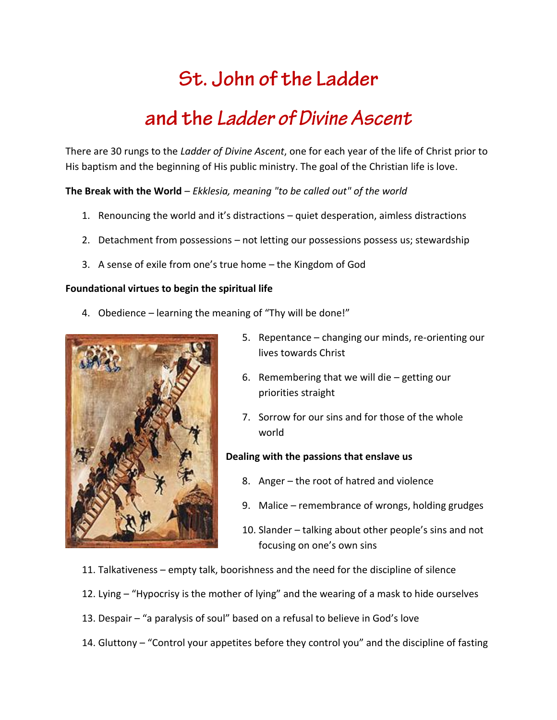# St. John of the Ladder

## and the Ladder of Divine Ascent

There are 30 rungs to the *Ladder of Divine Ascent*, one for each year of the life of Christ prior to His baptism and the beginning of His public ministry. The goal of the Christian life is love.

**The Break with the World** – *Ekklesia, meaning "to be called out" of the world*

- 1. Renouncing the world and it's distractions quiet desperation, aimless distractions
- 2. Detachment from possessions not letting our possessions possess us; stewardship
- 3. A sense of exile from one's true home the Kingdom of God

#### **Foundational virtues to begin the spiritual life**

4. Obedience – learning the meaning of "Thy will be done!"



- 5. Repentance changing our minds, re-orienting our lives towards Christ
- 6. Remembering that we will die getting our priorities straight
- 7. Sorrow for our sins and for those of the whole world

#### **Dealing with the passions that enslave us**

- 8. Anger the root of hatred and violence
- 9. Malice remembrance of wrongs, holding grudges
- 10. Slander talking about other people's sins and not focusing on one's own sins
- 11. Talkativeness empty talk, boorishness and the need for the discipline of silence
- 12. Lying "Hypocrisy is the mother of lying" and the wearing of a mask to hide ourselves
- 13. Despair "a paralysis of soul" based on a refusal to believe in God's love
- 14. Gluttony "Control your appetites before they control you" and the discipline of fasting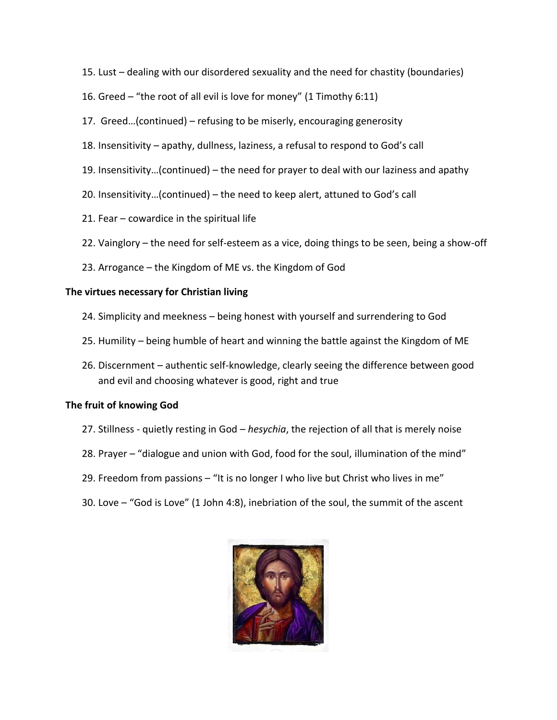- 15. Lust dealing with our disordered sexuality and the need for chastity (boundaries)
- 16. Greed "the root of all evil is love for money" (1 Timothy 6:11)
- 17. Greed…(continued) refusing to be miserly, encouraging generosity
- 18. Insensitivity apathy, dullness, laziness, a refusal to respond to God's call
- 19. Insensitivity…(continued) the need for prayer to deal with our laziness and apathy
- 20. Insensitivity…(continued) the need to keep alert, attuned to God's call
- 21. Fear cowardice in the spiritual life
- 22. Vainglory the need for self-esteem as a vice, doing things to be seen, being a show-off
- 23. Arrogance the Kingdom of ME vs. the Kingdom of God

#### **The virtues necessary for Christian living**

- 24. Simplicity and meekness being honest with yourself and surrendering to God
- 25. Humility being humble of heart and winning the battle against the Kingdom of ME
- 26. Discernment authentic self-knowledge, clearly seeing the difference between good and evil and choosing whatever is good, right and true

#### **The fruit of knowing God**

- 27. Stillness quietly resting in God *hesychia*, the rejection of all that is merely noise
- 28. Prayer "dialogue and union with God, food for the soul, illumination of the mind"
- 29. Freedom from passions "It is no longer I who live but Christ who lives in me"
- 30. Love "God is Love" (1 John 4:8), inebriation of the soul, the summit of the ascent

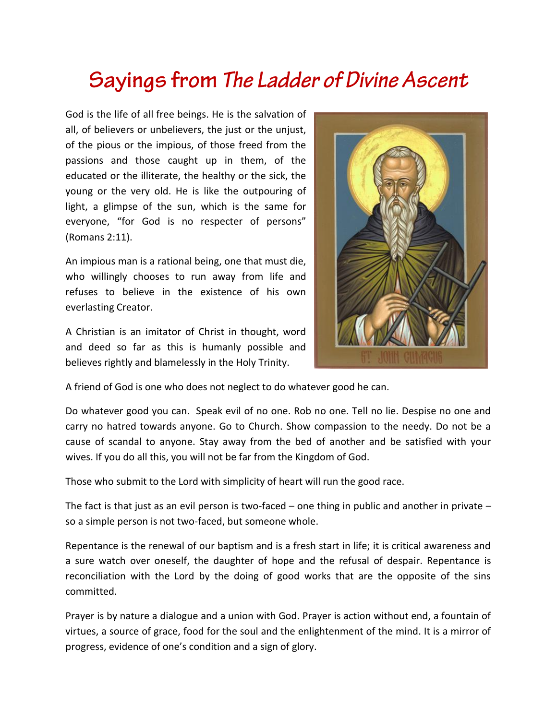# Sayings from The Ladder of Divine Ascent

God is the life of all free beings. He is the salvation of all, of believers or unbelievers, the just or the unjust, of the pious or the impious, of those freed from the passions and those caught up in them, of the educated or the illiterate, the healthy or the sick, the young or the very old. He is like the outpouring of light, a glimpse of the sun, which is the same for everyone, "for God is no respecter of persons" (Romans 2:11).

An impious man is a rational being, one that must die, who willingly chooses to run away from life and refuses to believe in the existence of his own everlasting Creator.

A Christian is an imitator of Christ in thought, word and deed so far as this is humanly possible and believes rightly and blamelessly in the Holy Trinity.



A friend of God is one who does not neglect to do whatever good he can.

Do whatever good you can. Speak evil of no one. Rob no one. Tell no lie. Despise no one and carry no hatred towards anyone. Go to Church. Show compassion to the needy. Do not be a cause of scandal to anyone. Stay away from the bed of another and be satisfied with your wives. If you do all this, you will not be far from the Kingdom of God.

Those who submit to the Lord with simplicity of heart will run the good race.

The fact is that just as an evil person is two-faced – one thing in public and another in private – so a simple person is not two-faced, but someone whole.

Repentance is the renewal of our baptism and is a fresh start in life; it is critical awareness and a sure watch over oneself, the daughter of hope and the refusal of despair. Repentance is reconciliation with the Lord by the doing of good works that are the opposite of the sins committed.

Prayer is by nature a dialogue and a union with God. Prayer is action without end, a fountain of virtues, a source of grace, food for the soul and the enlightenment of the mind. It is a mirror of progress, evidence of one's condition and a sign of glory.